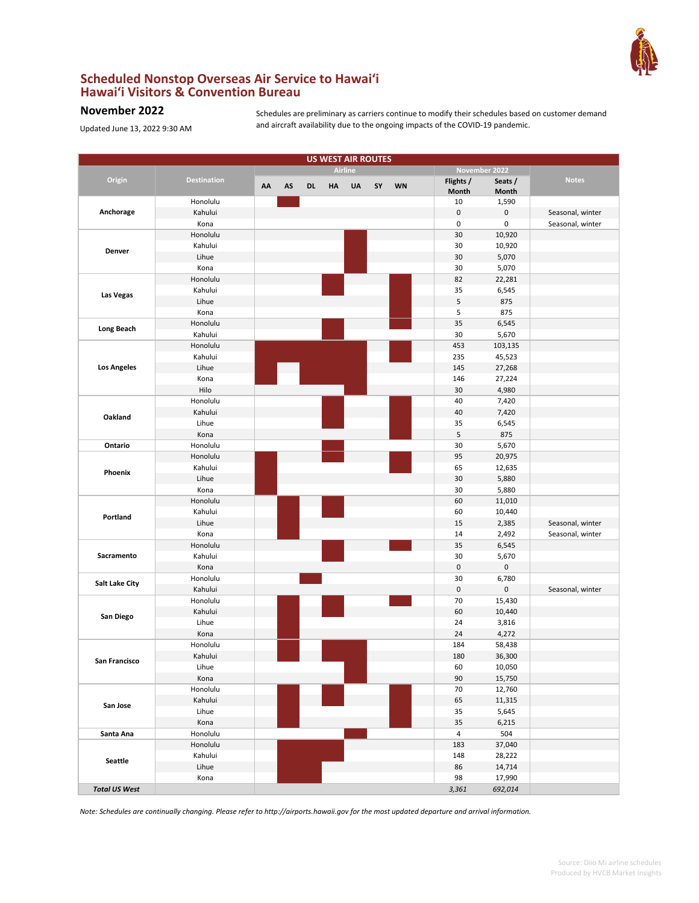

## **Scheduled Nonstop Overseas Air Service to Hawai'i Hawai'i Visitors & Convention Bureau**

## **November 2022**

Updated June 13, 2022 9:30 AM

Schedules are preliminary as carriers continue to modify their schedules based on customer demand and aircraft availability due to the ongoing impacts of the COVID-19 pandemic.

|                      |                    |    |    |           | <b>US WEST AIR ROUTES</b> |                |    |           |                    |                  |                  |
|----------------------|--------------------|----|----|-----------|---------------------------|----------------|----|-----------|--------------------|------------------|------------------|
|                      |                    |    |    |           |                           | <b>Airline</b> |    |           |                    | November 2022    |                  |
| Origin               | <b>Destination</b> | AA | AS | <b>DL</b> | HA                        | UA             | SY | <b>WN</b> | Flights /<br>Month | Seats /<br>Month | <b>Notes</b>     |
|                      | Honolulu           |    |    |           |                           |                |    |           | 10                 | 1,590            |                  |
| Anchorage            | Kahului            |    |    |           |                           |                |    |           | $\pmb{0}$          | 0                | Seasonal, winter |
|                      | Kona               |    |    |           |                           |                |    |           | 0                  | 0                | Seasonal, winter |
|                      | Honolulu           |    |    |           |                           |                |    |           | 30                 | 10,920           |                  |
|                      | Kahului            |    |    |           |                           |                |    |           | 30                 | 10,920           |                  |
| Denver               | Lihue              |    |    |           |                           |                |    |           | 30                 | 5,070            |                  |
|                      | Kona               |    |    |           |                           |                |    |           | 30                 | 5,070            |                  |
|                      | Honolulu           |    |    |           |                           |                |    |           | 82                 | 22,281           |                  |
|                      | Kahului            |    |    |           |                           |                |    |           | 35                 | 6,545            |                  |
| Las Vegas            | Lihue              |    |    |           |                           |                |    |           | 5                  | 875              |                  |
|                      | Kona               |    |    |           |                           |                |    |           | 5                  | 875              |                  |
|                      | Honolulu           |    |    |           |                           |                |    |           | 35                 | 6,545            |                  |
| <b>Long Beach</b>    | Kahului            |    |    |           |                           |                |    |           | 30                 | 5,670            |                  |
|                      | Honolulu           |    |    |           |                           |                |    |           | 453                | 103,135          |                  |
|                      | Kahului            |    |    |           |                           |                |    |           | 235                | 45,523           |                  |
| <b>Los Angeles</b>   | Lihue              |    |    |           |                           |                |    |           | 145                | 27,268           |                  |
|                      | Kona               |    |    |           |                           |                |    |           | 146                | 27,224           |                  |
|                      | Hilo               |    |    |           |                           |                |    |           | 30                 | 4,980            |                  |
|                      | Honolulu           |    |    |           |                           |                |    |           | 40                 | 7,420            |                  |
|                      | Kahului            |    |    |           |                           |                |    |           | 40                 | 7,420            |                  |
| Oakland              | Lihue              |    |    |           |                           |                |    |           | 35                 | 6,545            |                  |
|                      | Kona               |    |    |           |                           |                |    |           | 5                  | 875              |                  |
| Ontario              | Honolulu           |    |    |           |                           |                |    |           | 30                 | 5,670            |                  |
|                      | Honolulu           |    |    |           |                           |                |    |           | 95                 | 20,975           |                  |
|                      | Kahului            |    |    |           |                           |                |    |           | 65                 | 12,635           |                  |
| Phoenix              | Lihue              |    |    |           |                           |                |    |           | 30                 | 5,880            |                  |
|                      | Kona               |    |    |           |                           |                |    |           | 30                 | 5,880            |                  |
|                      | Honolulu           |    |    |           |                           |                |    |           | 60                 | 11,010           |                  |
|                      | Kahului            |    |    |           |                           |                |    |           | 60                 | 10,440           |                  |
| Portland             | Lihue              |    |    |           |                           |                |    |           | 15                 | 2,385            | Seasonal, winter |
|                      | Kona               |    |    |           |                           |                |    |           | 14                 | 2,492            | Seasonal, winter |
|                      | Honolulu           |    |    |           |                           |                |    |           | 35                 | 6,545            |                  |
| Sacramento           | Kahului            |    |    |           |                           |                |    |           | 30                 | 5,670            |                  |
|                      | Kona               |    |    |           |                           |                |    |           | 0                  | 0                |                  |
|                      | Honolulu           |    |    |           |                           |                |    |           | 30                 | 6,780            |                  |
| Salt Lake City       | Kahului            |    |    |           |                           |                |    |           | 0                  | 0                | Seasonal, winter |
|                      | Honolulu           |    |    |           |                           |                |    |           | 70                 | 15,430           |                  |
|                      | Kahului            |    |    |           |                           |                |    |           | 60                 | 10,440           |                  |
| San Diego            | Lihue              |    |    |           |                           |                |    |           | 24                 | 3,816            |                  |
|                      | Kona               |    |    |           |                           |                |    |           | 24                 | 4,272            |                  |
|                      | Honolulu           |    |    |           |                           |                |    |           | 184                | 58,438           |                  |
| San Francisco        | Kahului            |    |    |           |                           |                |    |           | 180                | 36,300           |                  |
|                      | Lihue              |    |    |           |                           |                |    |           | 60                 | 10,050           |                  |
|                      | Kona               |    |    |           |                           |                |    |           | 90                 | 15,750           |                  |
|                      | Honolulu           |    |    |           |                           |                |    |           | 70                 | 12,760           |                  |
| San Jose             | Kahului            |    |    |           |                           |                |    |           | 65                 | 11,315           |                  |
|                      | Lihue              |    |    |           |                           |                |    |           | 35                 | 5,645            |                  |
|                      | Kona               |    |    |           |                           |                |    |           | 35                 | 6,215            |                  |
| Santa Ana            | Honolulu           |    |    |           |                           |                |    |           | 4                  | 504              |                  |
|                      | Honolulu           |    |    |           |                           |                |    |           | 183                | 37,040           |                  |
| <b>Seattle</b>       | Kahului            |    |    |           |                           |                |    |           | 148                | 28,222           |                  |
|                      | Lihue              |    |    |           |                           |                |    |           | 86                 | 14,714           |                  |
|                      | Kona               |    |    |           |                           |                |    |           | 98                 | 17,990           |                  |
| <b>Total US West</b> |                    |    |    |           |                           |                |    |           | 3,361              | 692,014          |                  |

*Note: Schedules are continually changing. Please refer to http://airports.hawaii.gov for the most updated departure and arrival information.*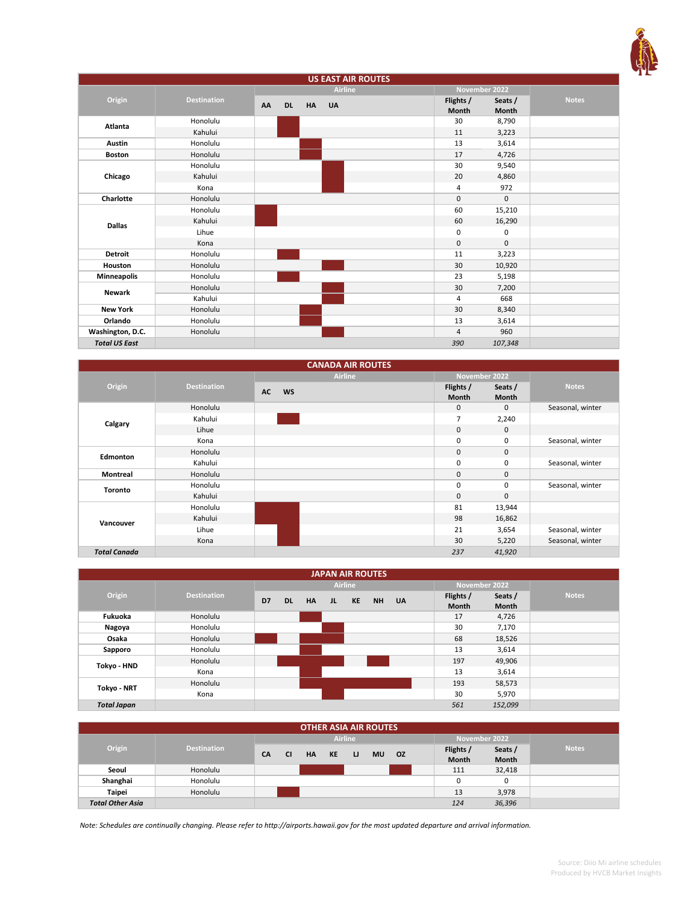

| <b>US EAST AIR ROUTES</b> |                    |    |           |    |                |  |                |               |              |
|---------------------------|--------------------|----|-----------|----|----------------|--|----------------|---------------|--------------|
|                           |                    |    |           |    | <b>Airline</b> |  |                | November 2022 |              |
| Origin                    | <b>Destination</b> | AA | <b>DL</b> | HA | <b>UA</b>      |  | Flights /      | Seats /       | <b>Notes</b> |
|                           |                    |    |           |    |                |  | Month          | <b>Month</b>  |              |
| Atlanta                   | Honolulu           |    |           |    |                |  | 30             | 8,790         |              |
|                           | Kahului            |    |           |    |                |  | 11             | 3,223         |              |
| Austin                    | Honolulu           |    |           |    |                |  | 13             | 3,614         |              |
| <b>Boston</b>             | Honolulu           |    |           |    |                |  | 17             | 4,726         |              |
|                           | Honolulu           |    |           |    |                |  | 30             | 9,540         |              |
| Chicago                   | Kahului            |    |           |    |                |  | 20             | 4,860         |              |
|                           | Kona               |    |           |    |                |  | 4              | 972           |              |
| Charlotte                 | Honolulu           |    |           |    |                |  | $\mathbf 0$    | $\mathbf 0$   |              |
|                           | Honolulu           |    |           |    |                |  | 60             | 15,210        |              |
| <b>Dallas</b>             | Kahului            |    |           |    |                |  | 60             | 16,290        |              |
|                           | Lihue              |    |           |    |                |  | 0              | 0             |              |
|                           | Kona               |    |           |    |                |  | 0              | $\mathbf 0$   |              |
| <b>Detroit</b>            | Honolulu           |    |           |    |                |  | 11             | 3,223         |              |
| Houston                   | Honolulu           |    |           |    |                |  | 30             | 10,920        |              |
| <b>Minneapolis</b>        | Honolulu           |    |           |    |                |  | 23             | 5,198         |              |
| <b>Newark</b>             | Honolulu           |    |           |    |                |  | 30             | 7,200         |              |
|                           | Kahului            |    |           |    |                |  | 4              | 668           |              |
| <b>New York</b>           | Honolulu           |    |           |    |                |  | 30             | 8,340         |              |
| Orlando                   | Honolulu           |    |           |    |                |  | 13             | 3,614         |              |
| Washington, D.C.          | Honolulu           |    |           |    |                |  | $\overline{4}$ | 960           |              |
| <b>Total US East</b>      |                    |    |           |    |                |  | 390            | 107,348       |              |

| <b>CANADA AIR ROUTES</b> |                    |                        |                |              |               |                  |  |  |  |
|--------------------------|--------------------|------------------------|----------------|--------------|---------------|------------------|--|--|--|
|                          |                    |                        | <b>Airline</b> |              | November 2022 |                  |  |  |  |
| Origin                   | <b>Destination</b> | <b>AC</b><br><b>WS</b> |                | Flights /    | Seats /       | <b>Notes</b>     |  |  |  |
|                          |                    |                        |                | <b>Month</b> | Month         |                  |  |  |  |
|                          | Honolulu           |                        |                | $\mathbf{0}$ | $\mathbf 0$   | Seasonal, winter |  |  |  |
| Calgary                  | Kahului            |                        |                | 7            | 2,240         |                  |  |  |  |
|                          | Lihue              |                        |                | $\mathbf{0}$ | $\mathbf 0$   |                  |  |  |  |
|                          | Kona               |                        |                | 0            | 0             | Seasonal, winter |  |  |  |
| Edmonton                 | Honolulu           |                        |                | $\mathbf{0}$ | $\mathbf 0$   |                  |  |  |  |
|                          | Kahului            |                        |                | 0            | 0             | Seasonal, winter |  |  |  |
| Montreal                 | Honolulu           |                        |                | $\mathbf{0}$ | 0             |                  |  |  |  |
| <b>Toronto</b>           | Honolulu           |                        |                | 0            | 0             | Seasonal, winter |  |  |  |
|                          | Kahului            |                        |                | $\mathbf{0}$ | $\mathbf{0}$  |                  |  |  |  |
|                          | Honolulu           |                        |                | 81           | 13,944        |                  |  |  |  |
| Vancouver                | Kahului            |                        |                | 98           | 16,862        |                  |  |  |  |
|                          | Lihue              |                        |                | 21           | 3,654         | Seasonal, winter |  |  |  |
|                          | Kona               |                        |                | 30           | 5,220         | Seasonal, winter |  |  |  |
| <b>Total Canada</b>      |                    |                        |                | 237          | 41,920        |                  |  |  |  |

| <b>JAPAN AIR ROUTES</b> |                    |    |           |           |    |                |           |           |              |               |              |
|-------------------------|--------------------|----|-----------|-----------|----|----------------|-----------|-----------|--------------|---------------|--------------|
|                         |                    |    |           |           |    | <b>Airline</b> |           |           |              | November 2022 |              |
| Origin                  | <b>Destination</b> | D7 | <b>DL</b> | <b>HA</b> | JL | KE             | <b>NH</b> | <b>UA</b> | Flights /    | Seats /       | <b>Notes</b> |
|                         |                    |    |           |           |    |                |           |           | <b>Month</b> | <b>Month</b>  |              |
| Fukuoka                 | Honolulu           |    |           |           |    |                |           |           | 17           | 4,726         |              |
| Nagoya                  | Honolulu           |    |           |           |    |                |           |           | 30           | 7,170         |              |
| Osaka                   | Honolulu           |    |           |           |    |                |           |           | 68           | 18,526        |              |
| Sapporo                 | Honolulu           |    |           |           |    |                |           |           | 13           | 3,614         |              |
| Tokyo - HND             | Honolulu           |    |           |           |    |                |           |           | 197          | 49,906        |              |
|                         | Kona               |    |           |           |    |                |           |           | 13           | 3,614         |              |
| Tokyo - NRT             | Honolulu           |    |           |           |    |                |           |           | 193          | 58,573        |              |
|                         | Kona               |    |           |           |    |                |           |           | 30           | 5,970         |              |
| <b>Total Japan</b>      |                    |    |           |           |    |                |           |           | 561          | 152,099       |              |

| <b>OTHER ASIA AIR ROUTES</b> |                    |                |           |           |           |    |           |           |               |                    |                  |              |
|------------------------------|--------------------|----------------|-----------|-----------|-----------|----|-----------|-----------|---------------|--------------------|------------------|--------------|
|                              |                    | <b>Airline</b> |           |           |           |    |           |           | November 2022 |                    |                  |              |
| Origin                       | <b>Destination</b> | <b>CA</b>      | <b>CI</b> | <b>HA</b> | <b>KE</b> | IJ | <b>MU</b> | <b>OZ</b> |               | Flights /<br>Month | Seats /<br>Month | <b>Notes</b> |
| Seoul                        | Honolulu           |                |           |           |           |    |           |           |               | 111                | 32,418           |              |
| Shanghai                     | Honolulu           |                |           |           |           |    |           |           |               | 0                  | 0                |              |
| <b>Taipei</b>                | Honolulu           |                |           |           |           |    |           |           |               | 13                 | 3,978            |              |
| <b>Total Other Asia</b>      |                    |                |           |           |           |    |           |           |               | 124                | 36,396           |              |

*Note: Schedules are continually changing. Please refer to http://airports.hawaii.gov for the most updated departure and arrival information.*